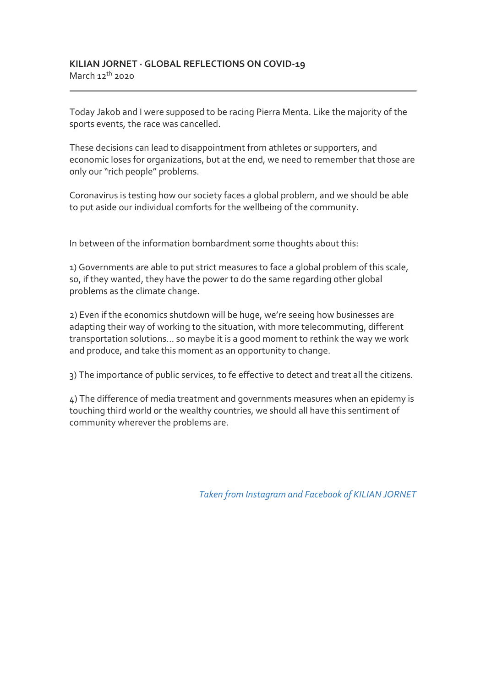Today Jakob and I were supposed to be racing Pierra Menta. Like the majority of the sports events, the race was cancelled.

These decisions can lead to disappointment from athletes or supporters, and economic loses for organizations, but at the end, we need to remember that those are only our "rich people" problems.

Coronavirus is testing how our society faces a global problem, and we should be able to put aside our individual comforts for the wellbeing of the community.

In between of the information bombardment some thoughts about this:

1) Governments are able to put strict measures to face a global problem of this scale, so, if they wanted, they have the power to do the same regarding other global problems as the climate change.

2) Even if the economics shutdown will be huge, we're seeing how businesses are adapting their way of working to the situation, with more telecommuting, different transportation solutions... so maybe it is a good moment to rethink the way we work and produce, and take this moment as an opportunity to change.

3) The importance of public services, to fe effective to detect and treat all the citizens.

4) The difference of media treatment and governments measures when an epidemy is touching third world or the wealthy countries, we should all have this sentiment of community wherever the problems are.

*Taken from Instagram and Facebook of KILIAN JORNET*